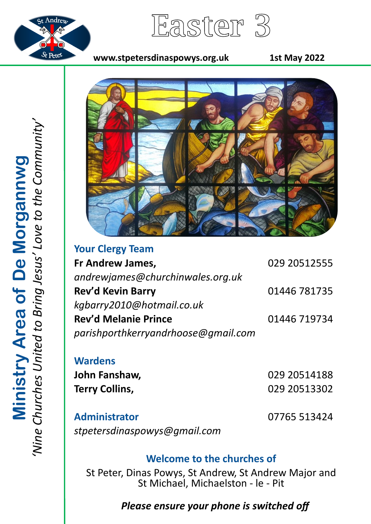

Easter 3

#### **www.stpetersdinaspowys.org.uk 1st May 2022**



**Your Clergy Team Fr Andrew James,** 029 20512555 *andrewjames@churchinwales.org.uk* **Rev'd Kevin Barry** 01446 781735 *kgbarry2010@hotmail.co.uk* **Rev'd Melanie Prince** 01446 719734 *parishporthkerryandrhoose@gmail.com*

### **Wardens**

**John Fanshaw,** 029 20514188 **Terry Collins,** 029 20513302

**Administrator** 07765 513424 *stpetersdinaspowys@gmail.com*

## **Welcome to the churches of**

St Peter, Dinas Powys, St Andrew, St Andrew Major and St Michael, Michaelston - le - Pit

# *Please ensure your phone is switched off*

*'Nine Churches United to Bring Jesus' Love to the Community'* Ministry Area of De Morgannwg<br>'Nine Churches United to Bring Jesus' Love to the Community **Ministry Area of De Morgannwg**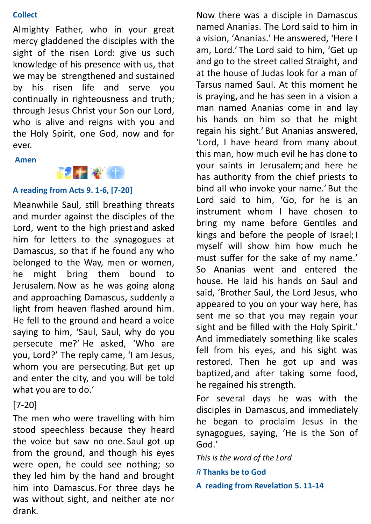#### **Collect**

Almighty Father, who in your great mercy gladdened the disciples with the sight of the risen Lord: give us such knowledge of his presence with us, that we may be strengthened and sustained by his risen life and serve you continually in righteousness and truth; through Jesus Christ your Son our Lord, who is alive and reigns with you and the Holy Spirit, one God, now and for ever.

**Amen**



#### **A reading from Acts 9. 1-6, [7-20]**

Meanwhile Saul, still breathing threats and murder against the disciples of the Lord, went to the high priest and asked him for letters to the synagogues at Damascus, so that if he found any who belonged to the Way, men or women, he might bring them bound to Jerusalem.Now as he was going along and approaching Damascus, suddenly a light from heaven flashed around him. He fell to the ground and heard a voice saying to him, 'Saul, Saul, why do you persecute me?' He asked, 'Who are you, Lord?' The reply came, 'I am Jesus, whom you are persecuting. But get up and enter the city, and you will be told what you are to do.'

### [7-20]

The men who were travelling with him stood speechless because they heard the voice but saw no one. Saul got up from the ground, and though his eyes were open, he could see nothing; so they led him by the hand and brought him into Damascus. For three days he was without sight, and neither ate nor drank.

Now there was a disciple in Damascus named Ananias. The Lord said to him in a vision, 'Ananias.' He answered, 'Here I am, Lord.' The Lord said to him, 'Get up and go to the street called Straight, and at the house of Judas look for a man of Tarsus named Saul. At this moment he is praying, and he has seen in a vision a man named Ananias come in and lay his hands on him so that he might regain his sight.'But Ananias answered, 'Lord, I have heard from many about this man, how much evil he has done to your saints in Jerusalem; and here he has authority from the chief priests to bind all who invoke your name.'But the Lord said to him, 'Go, for he is an instrument whom I have chosen to bring my name before Gentiles and kings and before the people of Israel; I myself will show him how much he must suffer for the sake of my name.' So Ananias went and entered the house. He laid his hands on Saul and said, 'Brother Saul, the Lord Jesus, who appeared to you on your way here, has sent me so that you may regain your sight and be filled with the Holy Spirit.' And immediately something like scales fell from his eyes, and his sight was restored. Then he got up and was baptized, and after taking some food, he regained his strength.

For several days he was with the disciples in Damascus, and immediately he began to proclaim Jesus in the synagogues, saying, 'He is the Son of God.'

*This is the word of the Lord*

*R* **Thanks be to God**

**A reading from Revelation 5. 11-14**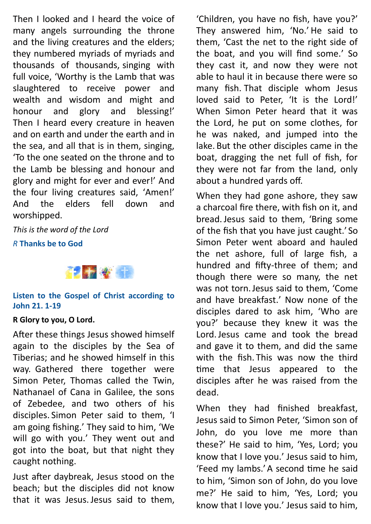Then I looked and I heard the voice of many angels surrounding the throne and the living creatures and the elders; they numbered myriads of myriads and thousands of thousands, singing with full voice, 'Worthy is the Lamb that was slaughtered to receive power and wealth and wisdom and might and honour and glory and blessing!' Then I heard every creature in heaven and on earth and under the earth and in the sea, and all that is in them, singing, 'To the one seated on the throne and to the Lamb be blessing and honour and glory and might for ever and ever!' And the four living creatures said, 'Amen!' And the elders fell down and worshipped.

*This is the word of the Lord*

*R* **Thanks be to God**



#### **Listen to the Gospel of Christ according to John 21. 1-19**

#### **R Glory to you, O Lord.**

After these things Jesus showed himself again to the disciples by the Sea of Tiberias; and he showed himself in this way. Gathered there together were Simon Peter, Thomas called the Twin, Nathanael of Cana in Galilee, the sons of Zebedee, and two others of his disciples. Simon Peter said to them, 'I am going fishing.' They said to him, 'We will go with you.' They went out and got into the boat, but that night they caught nothing.

Just after daybreak, Jesus stood on the beach; but the disciples did not know that it was Jesus. Jesus said to them,

'Children, you have no fish, have you?' They answered him, 'No.' He said to them, 'Cast the net to the right side of the boat, and you will find some.' So they cast it, and now they were not able to haul it in because there were so many fish. That disciple whom Jesus loved said to Peter, 'It is the Lord!' When Simon Peter heard that it was the Lord, he put on some clothes, for he was naked, and jumped into the lake. But the other disciples came in the boat, dragging the net full of fish, for they were not far from the land, only about a hundred yards off.

When they had gone ashore, they saw a charcoal fire there, with fish on it, and bread.Jesus said to them, 'Bring some of the fish that you have just caught.' So Simon Peter went aboard and hauled the net ashore, full of large fish, a hundred and fifty-three of them; and though there were so many, the net was not torn.Jesus said to them, 'Come and have breakfast.' Now none of the disciples dared to ask him, 'Who are you?' because they knew it was the Lord.Jesus came and took the bread and gave it to them, and did the same with the fish. This was now the third time that Jesus appeared to the disciples after he was raised from the dead.

When they had finished breakfast, Jesus said to Simon Peter, 'Simon son of John, do you love me more than these?' He said to him, 'Yes, Lord; you know that I love you.' Jesus said to him, 'Feed my lambs.'A second time he said to him, 'Simon son of John, do you love me?' He said to him, 'Yes, Lord; you know that I love you.' Jesus said to him,